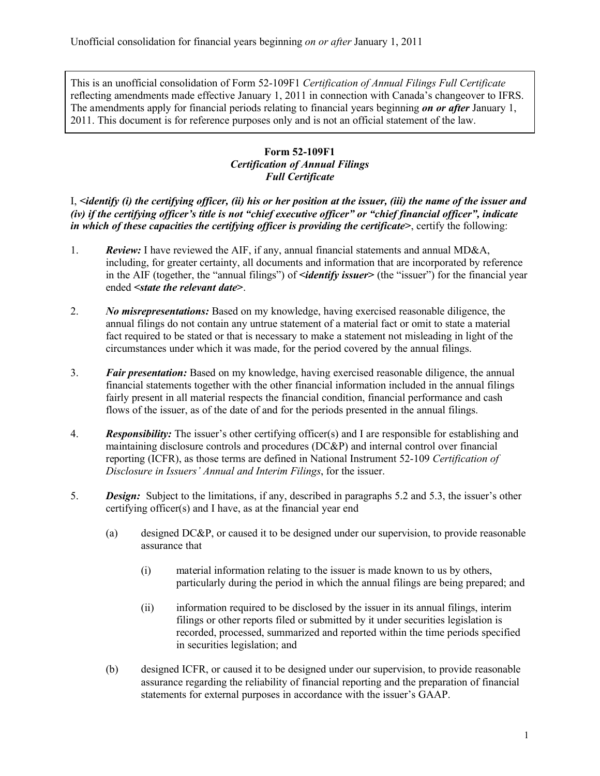This is an unofficial consolidation of Form 52-109F1 *Certification of Annual Filings Full Certificate*  reflecting amendments made effective January 1, 2011 in connection with Canada's changeover to IFRS. The amendments apply for financial periods relating to financial years beginning *on or after* January 1, 2011. This document is for reference purposes only and is not an official statement of the law.

## **Form 52-109F1** *Certification of Annual Filings Full Certificate*

I, **<***identify (i) the certifying officer, (ii) his or her position at the issuer, (iii) the name of the issuer and (iv) if the certifying officer's title is not "chief executive officer" or "chief financial officer", indicate in which of these capacities the certifying officer is providing the certificate>*, certify the following:

- 1. *Review:* I have reviewed the AIF, if any, annual financial statements and annual MD&A, including, for greater certainty, all documents and information that are incorporated by reference in the AIF (together, the "annual filings") of *identify issuer* (the "issuer") for the financial year ended **<***state the relevant date***>**.
- 2. *No misrepresentations:* Based on my knowledge, having exercised reasonable diligence, the annual filings do not contain any untrue statement of a material fact or omit to state a material fact required to be stated or that is necessary to make a statement not misleading in light of the circumstances under which it was made, for the period covered by the annual filings.
- 3. *Fair presentation:* Based on my knowledge, having exercised reasonable diligence, the annual financial statements together with the other financial information included in the annual filings fairly present in all material respects the financial condition, financial performance and cash flows of the issuer, as of the date of and for the periods presented in the annual filings.
- 4. *Responsibility:* The issuer's other certifying officer(s) and I are responsible for establishing and maintaining disclosure controls and procedures (DC&P) and internal control over financial reporting (ICFR), as those terms are defined in National Instrument 52-109 *Certification of Disclosure in Issuers' Annual and Interim Filings*, for the issuer.
- 5. *Design:* Subject to the limitations, if any, described in paragraphs 5.2 and 5.3, the issuer's other certifying officer(s) and I have, as at the financial year end
	- (a) designed DC&P, or caused it to be designed under our supervision, to provide reasonable assurance that
		- (i) material information relating to the issuer is made known to us by others, particularly during the period in which the annual filings are being prepared; and
		- (ii) information required to be disclosed by the issuer in its annual filings, interim filings or other reports filed or submitted by it under securities legislation is recorded, processed, summarized and reported within the time periods specified in securities legislation; and
	- (b) designed ICFR, or caused it to be designed under our supervision, to provide reasonable assurance regarding the reliability of financial reporting and the preparation of financial statements for external purposes in accordance with the issuer's GAAP.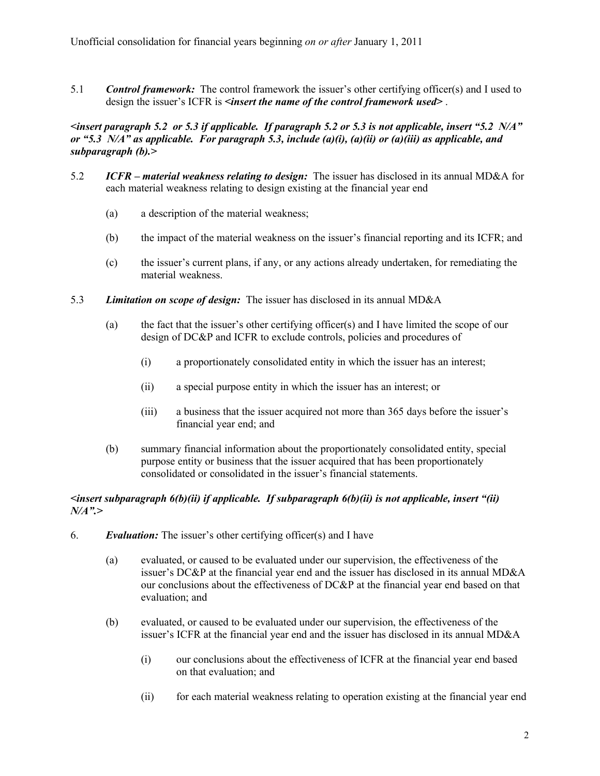5.1 *Control framework:* The control framework the issuer's other certifying officer(s) and I used to design the issuer's ICFR is **<***insert the name of the control framework used***>** .

**<***insert paragraph 5.2 or 5.3 if applicable. If paragraph 5.2 or 5.3 is not applicable, insert "5.2 N/A" or "5.3 N/A" as applicable. For paragraph 5.3, include (a)(i), (a)(ii) or (a)(iii) as applicable, and subparagraph (b).***>**

- 5.2 *ICFR – material weakness relating to design:* The issuer has disclosed in its annual MD&A for each material weakness relating to design existing at the financial year end
	- (a) a description of the material weakness;
	- (b) the impact of the material weakness on the issuer's financial reporting and its ICFR; and
	- (c) the issuer's current plans, if any, or any actions already undertaken, for remediating the material weakness.
- 5.3 *Limitation on scope of design:* The issuer has disclosed in its annual MD&A
	- (a) the fact that the issuer's other certifying officer(s) and I have limited the scope of our design of DC&P and ICFR to exclude controls, policies and procedures of
		- (i) a proportionately consolidated entity in which the issuer has an interest;
		- (ii) a special purpose entity in which the issuer has an interest; or
		- (iii) a business that the issuer acquired not more than 365 days before the issuer's financial year end; and
	- (b) summary financial information about the proportionately consolidated entity, special purpose entity or business that the issuer acquired that has been proportionately consolidated or consolidated in the issuer's financial statements.

## **<***insert subparagraph 6(b)(ii) if applicable. If subparagraph 6(b)(ii) is not applicable, insert "(ii) N/A".***>**

- 6. *Evaluation:* The issuer's other certifying officer(s) and I have
	- (a) evaluated, or caused to be evaluated under our supervision, the effectiveness of the issuer's DC&P at the financial year end and the issuer has disclosed in its annual MD&A our conclusions about the effectiveness of DC&P at the financial year end based on that evaluation; and
	- (b) evaluated, or caused to be evaluated under our supervision, the effectiveness of the issuer's ICFR at the financial year end and the issuer has disclosed in its annual MD&A
		- (i) our conclusions about the effectiveness of ICFR at the financial year end based on that evaluation; and
		- (ii) for each material weakness relating to operation existing at the financial year end